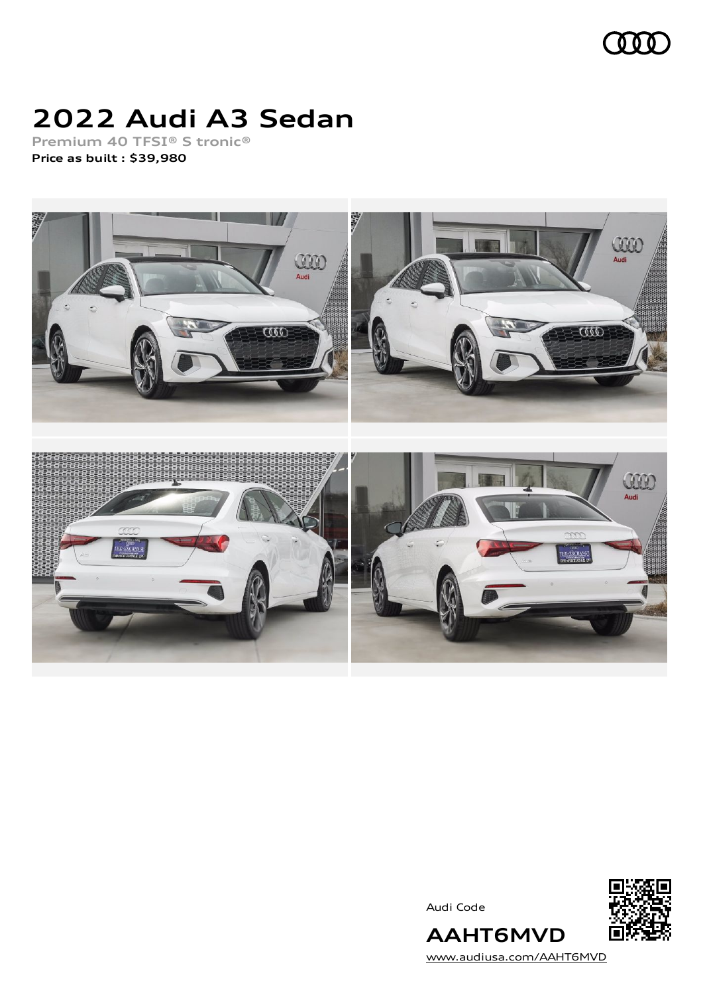

# **2022 Audi A3 Sedan**

**Premium 40 TFSI® S tronic® Price as built [:](#page-9-0) \$39,980**



Audi Code



[www.audiusa.com/AAHT6MVD](https://www.audiusa.com/AAHT6MVD)

**AAHT6MVD**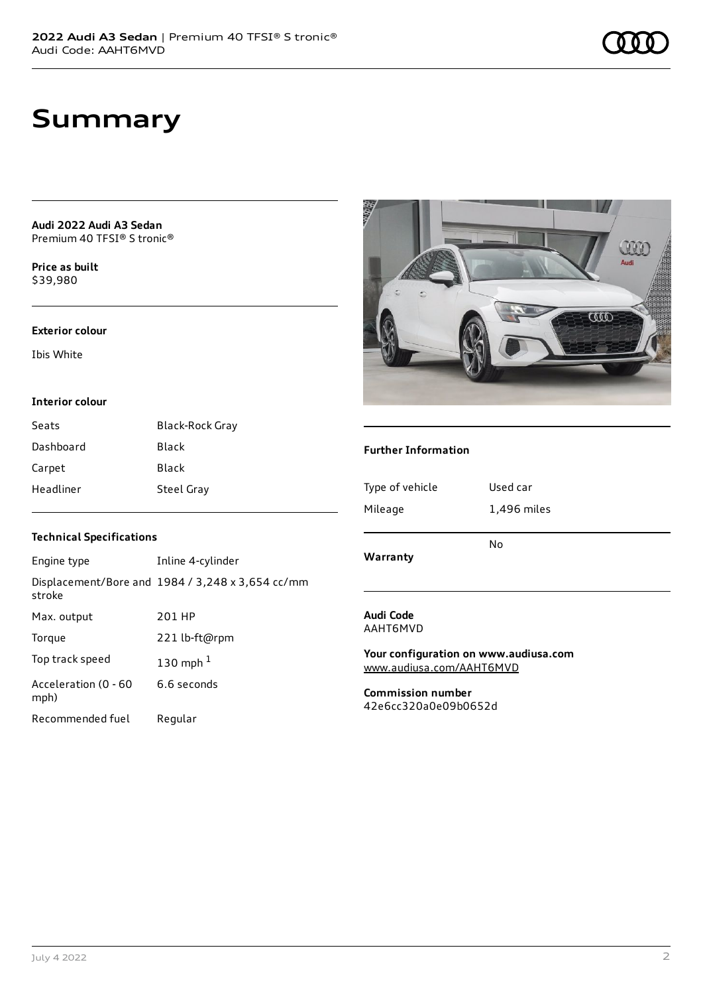**Audi 2022 Audi A3 Sedan** Premium 40 TFSI® S tronic®

**Price as buil[t](#page-9-0)** \$39,980

#### **Exterior colour**

Ibis White

#### **Interior colour**

| Seats     | <b>Black-Rock Gray</b> |
|-----------|------------------------|
| Dashboard | Black                  |
| Carpet    | Black                  |
| Headliner | <b>Steel Gray</b>      |

### **Technical Specifications**

| Engine type                  | Inline 4-cylinder                                       |
|------------------------------|---------------------------------------------------------|
| stroke                       | Displacement/Bore and $1984 / 3,248 \times 3,654$ cc/mm |
| Max. output                  | 201 HP                                                  |
| Torque                       | 221 lb-ft@rpm                                           |
| Top track speed              | 130 mph $1$                                             |
| Acceleration (0 - 60<br>mph) | 6.6 seconds                                             |
| Recommended fuel             | Regular                                                 |



#### **Further Information**

| Type of vehicle<br>Mileage | Used car<br>1,496 miles<br>No |
|----------------------------|-------------------------------|
| Warranty                   |                               |

#### **Audi Code** AAHT6MVD

**Your configuration on www.audiusa.com** [www.audiusa.com/AAHT6MVD](https://www.audiusa.com/AAHT6MVD)

**Commission number** 42e6cc320a0e09b0652d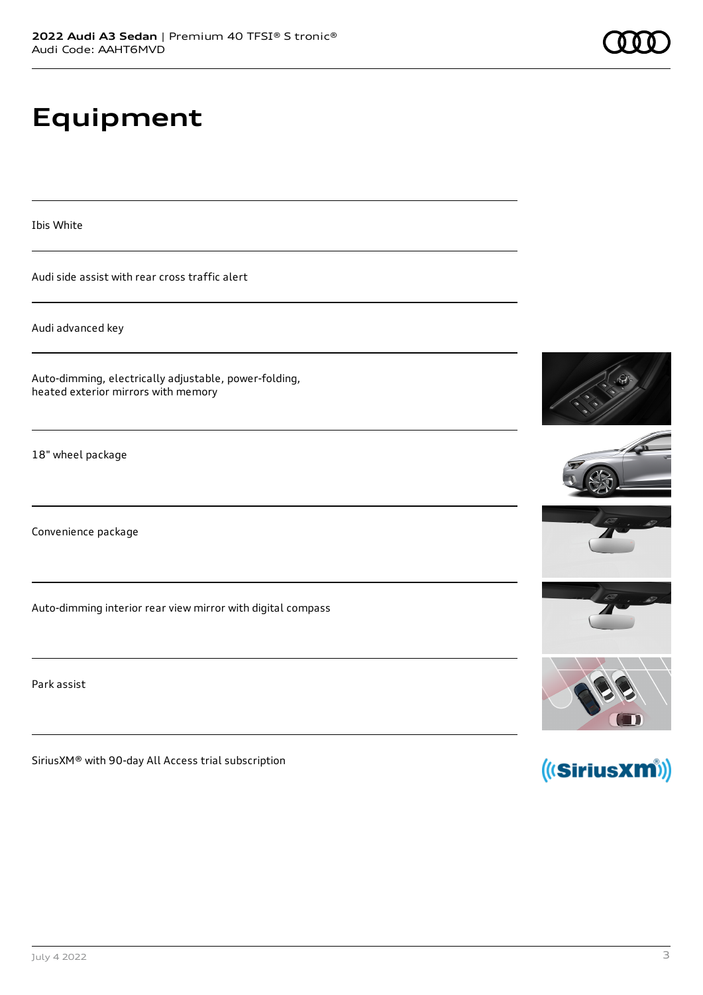# **Equipment**

Ibis White

Audi side assist with rear cross traffic alert

Audi advanced key

Auto-dimming, electrically adjustable, power-folding, heated exterior mirrors with memory

18" wheel package

Convenience package

Auto-dimming interior rear view mirror with digital compass

Park assist

SiriusXM® with 90-day All Access trial subscription













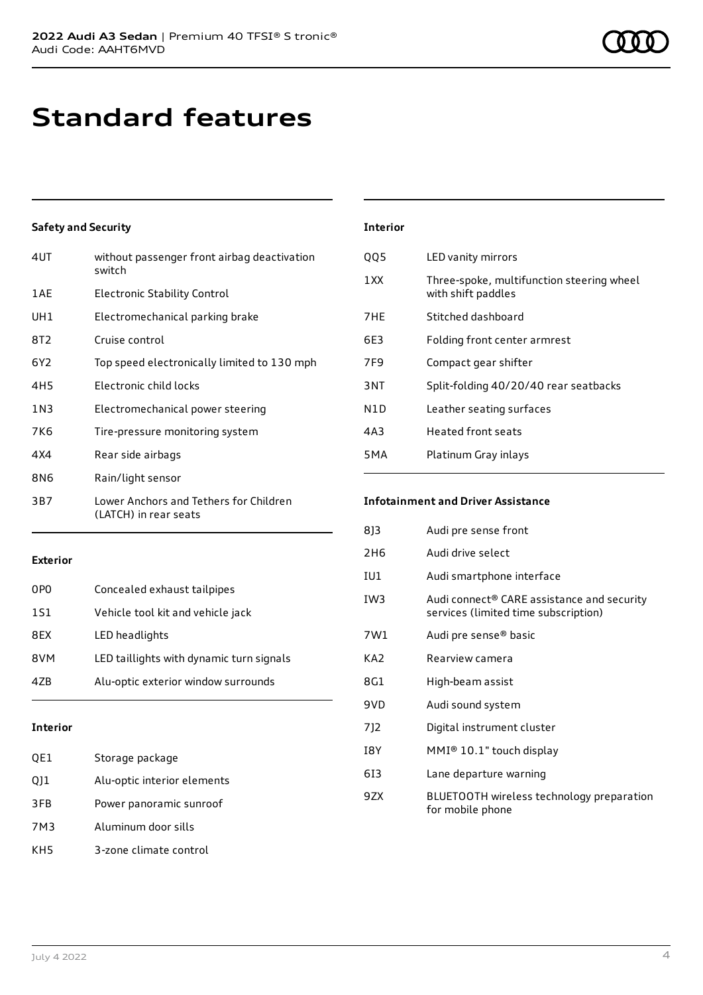### **Standard features**

#### **Safety and Security**

| 4UT             | without passenger front airbag deactivation<br>switch           |
|-----------------|-----------------------------------------------------------------|
| 1AE             | <b>Electronic Stability Control</b>                             |
| UH1             | Electromechanical parking brake                                 |
| 8T <sub>2</sub> | Cruise control                                                  |
| 6Y <sub>2</sub> | Top speed electronically limited to 130 mph                     |
| 4H <sub>5</sub> | Electronic child locks                                          |
| 1N3             | Electromechanical power steering                                |
| 7K6             | Tire-pressure monitoring system                                 |
| 4X4             | Rear side airbags                                               |
| 8N6             | Rain/light sensor                                               |
| 3B7             | Lower Anchors and Tethers for Children<br>(LATCH) in rear seats |

| <b>Interior</b>  |                                                                 |
|------------------|-----------------------------------------------------------------|
| <b>QQ5</b>       | LED vanity mirrors                                              |
| 1 X X            | Three-spoke, multifunction steering wheel<br>with shift paddles |
| 7HE              | Stitched dashboard                                              |
| 6E3              | Folding front center armrest                                    |
| 7F9              | Compact gear shifter                                            |
| 3NT              | Split-folding 40/20/40 rear seatbacks                           |
| N <sub>1</sub> D | Leather seating surfaces                                        |
| 4A3              | <b>Heated front seats</b>                                       |
| 5 M A            | Platinum Gray inlays                                            |

### **Infotainment and Driver Assistance**

| 813             | Audi pre sense front                                                               |
|-----------------|------------------------------------------------------------------------------------|
| 2H <sub>6</sub> | Audi drive select                                                                  |
| IU1             | Audi smartphone interface                                                          |
| IW3             | Audi connect® CARE assistance and security<br>services (limited time subscription) |
| 7W1             | Audi pre sense® basic                                                              |
| KA2             | Rearview camera                                                                    |
| 8G1             | High-beam assist                                                                   |
| 9VD             | Audi sound system                                                                  |
| 712             | Digital instrument cluster                                                         |
| I8Y             | $MMI® 10.1"$ touch display                                                         |
| 613             | Lane departure warning                                                             |
| 9ZX             | BLUETOOTH wireless technology preparation<br>for mobile phone                      |
|                 |                                                                                    |

#### **Exterior**

| 0PO | Concealed exhaust tailpipes              |
|-----|------------------------------------------|
| 1S1 | Vehicle tool kit and vehicle jack        |
| 8EX | LED headlights                           |
| 8VM | LED taillights with dynamic turn signals |
| 47B | Alu-optic exterior window surrounds      |
|     |                                          |

#### **Interior**

| QE1 | Storage package             |
|-----|-----------------------------|
| Q11 | Alu-optic interior elements |
| 3FB | Power panoramic sunroof     |
| 7M3 | Aluminum door sills         |
| KH5 | 3-zone climate control      |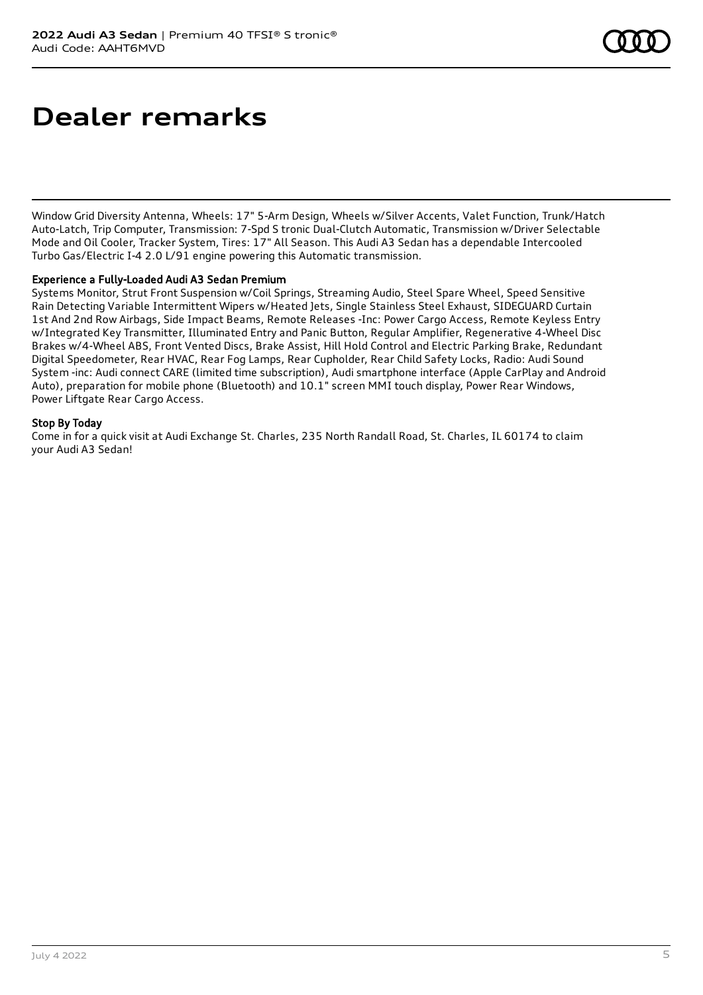### **Dealer remarks**

Window Grid Diversity Antenna, Wheels: 17" 5-Arm Design, Wheels w/Silver Accents, Valet Function, Trunk/Hatch Auto-Latch, Trip Computer, Transmission: 7-Spd S tronic Dual-Clutch Automatic, Transmission w/Driver Selectable Mode and Oil Cooler, Tracker System, Tires: 17" All Season. This Audi A3 Sedan has a dependable Intercooled Turbo Gas/Electric I-4 2.0 L/91 engine powering this Automatic transmission.

#### Experience a Fully-Loaded Audi A3 Sedan Premium

Systems Monitor, Strut Front Suspension w/Coil Springs, Streaming Audio, Steel Spare Wheel, Speed Sensitive Rain Detecting Variable Intermittent Wipers w/Heated Jets, Single Stainless Steel Exhaust, SIDEGUARD Curtain 1st And 2nd Row Airbags, Side Impact Beams, Remote Releases -Inc: Power Cargo Access, Remote Keyless Entry w/Integrated Key Transmitter, Illuminated Entry and Panic Button, Regular Amplifier, Regenerative 4-Wheel Disc Brakes w/4-Wheel ABS, Front Vented Discs, Brake Assist, Hill Hold Control and Electric Parking Brake, Redundant Digital Speedometer, Rear HVAC, Rear Fog Lamps, Rear Cupholder, Rear Child Safety Locks, Radio: Audi Sound System -inc: Audi connect CARE (limited time subscription), Audi smartphone interface (Apple CarPlay and Android Auto), preparation for mobile phone (Bluetooth) and 10.1" screen MMI touch display, Power Rear Windows, Power Liftgate Rear Cargo Access.

#### Stop By Today

Come in for a quick visit at Audi Exchange St. Charles, 235 North Randall Road, St. Charles, IL 60174 to claim your Audi A3 Sedan!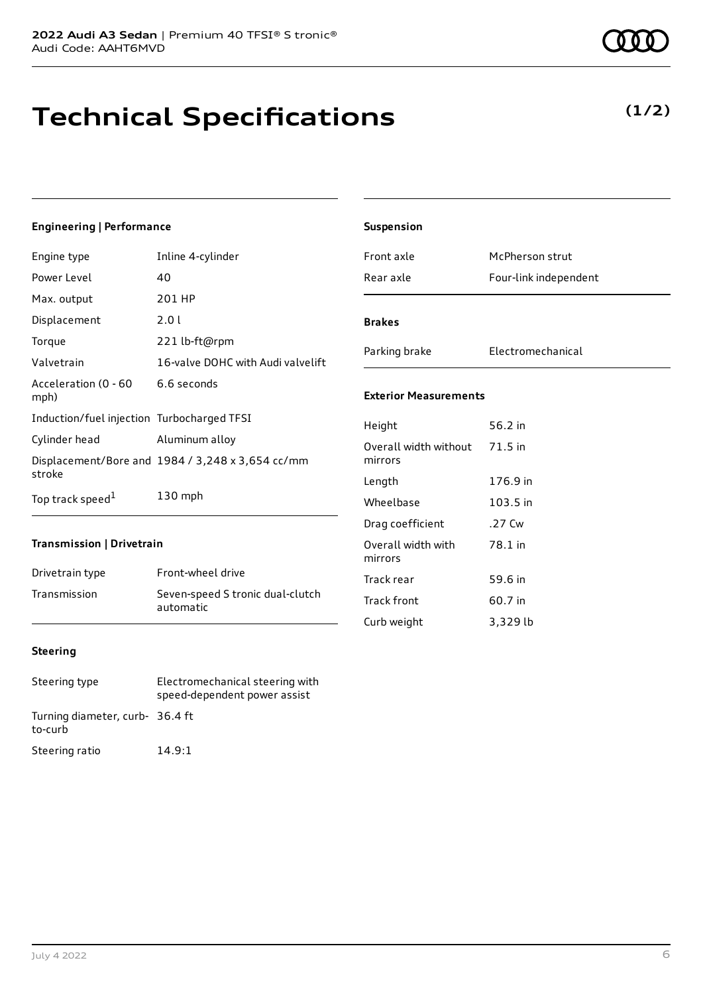### **Technical Specifications**

#### **Engineering | Performance**

| Engine type                                | Inline 4-cylinder                                |
|--------------------------------------------|--------------------------------------------------|
| Power Level                                | 40                                               |
| Max. output                                | 201 HP                                           |
| Displacement                               | 2.0 L                                            |
| Torque                                     | 221 lb-ft@rpm                                    |
| Valvetrain                                 | 16-valve DOHC with Audi valvelift                |
| Acceleration (0 - 60<br>mph)               | 6.6 seconds                                      |
| Induction/fuel injection Turbocharged TFSI |                                                  |
| Cylinder head                              | Aluminum alloy                                   |
| stroke                                     | Displacement/Bore and 1984 / 3,248 x 3,654 cc/mm |
| Top track speed <sup>1</sup>               | $130$ mph                                        |

#### **Transmission | Drivetrain**

| Drivetrain type | Front-wheel drive                             |
|-----------------|-----------------------------------------------|
| Transmission    | Seven-speed S tronic dual-clutch<br>automatic |

|                 | autom |
|-----------------|-------|
|                 |       |
| <b>Steering</b> |       |

| Steering type                              | Electromechanical steering with<br>speed-dependent power assist |
|--------------------------------------------|-----------------------------------------------------------------|
| Turning diameter, curb- 36.4 ft<br>to-curb |                                                                 |
| Steering ratio                             | 14.9:1                                                          |

| Suspension                             |                       |
|----------------------------------------|-----------------------|
| Front axle                             | McPherson strut       |
| Rear axle                              | Four-link independent |
| <b>Brakes</b>                          |                       |
| Parking brake                          | Electromechanical     |
| <b>Exterior Measurements</b>           |                       |
| Height                                 | 56.2 in               |
| Overall width without<br>mirrors       | 71.5 in               |
| Length                                 | 176.9 in              |
| Wheelbase                              | 103.5 in              |
| Drag coefficient                       | .27 Cw                |
| المالغة بالمسابقة والمستقرين والمستقرئ | 70.1 <sup>1</sup>     |

#### **Exte**

| Height                           | 56.2 in  |
|----------------------------------|----------|
| Overall width without<br>mirrors | 71.5 in  |
| Length                           | 176.9 in |
| Wheelbase                        | 103.5 in |
| Drag coefficient                 | .27 Cw   |
| Overall width with<br>mirrors    | 78.1 in  |
| Track rear                       | 59.6 in  |
| <b>Track front</b>               | 60.7 in  |
| Curb weight                      | 3,329 lb |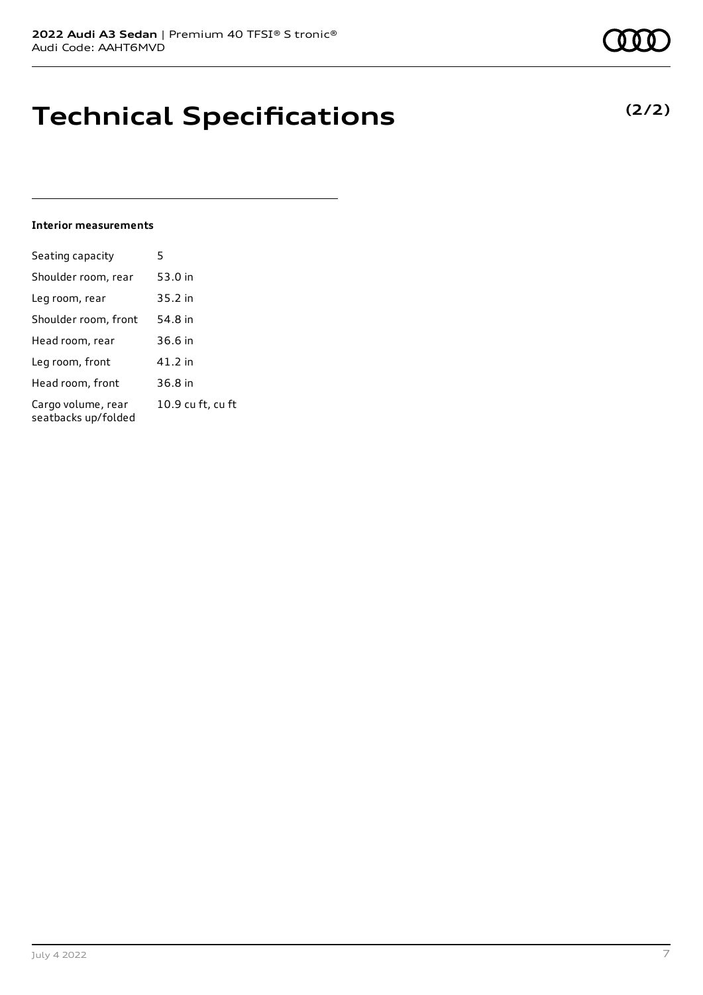### **Technical Specifications**

#### **Interior measurements**

| 5                 |
|-------------------|
| 53.0 in           |
| 35.2 in           |
| 54.8 in           |
| 36.6 in           |
| 41.2 in           |
| 36.8 in           |
| 10.9 cu ft, cu ft |
|                   |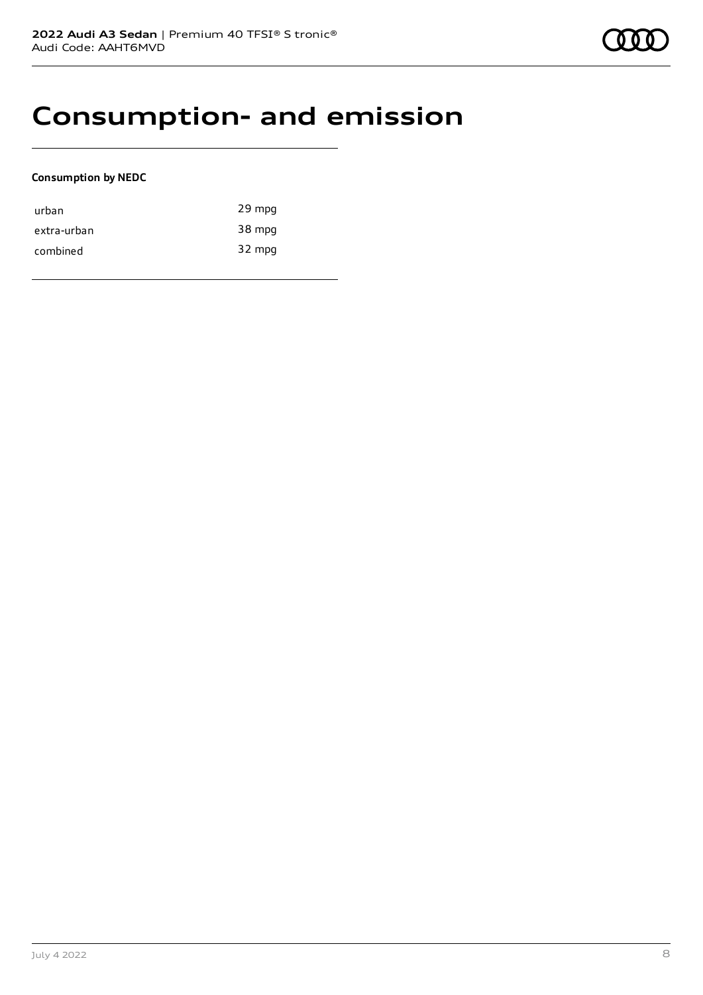### **Consumption- and emission**

#### **Consumption by NEDC**

| urban       | 29 mpg |
|-------------|--------|
| extra-urban | 38 mpg |
| combined    | 32 mpg |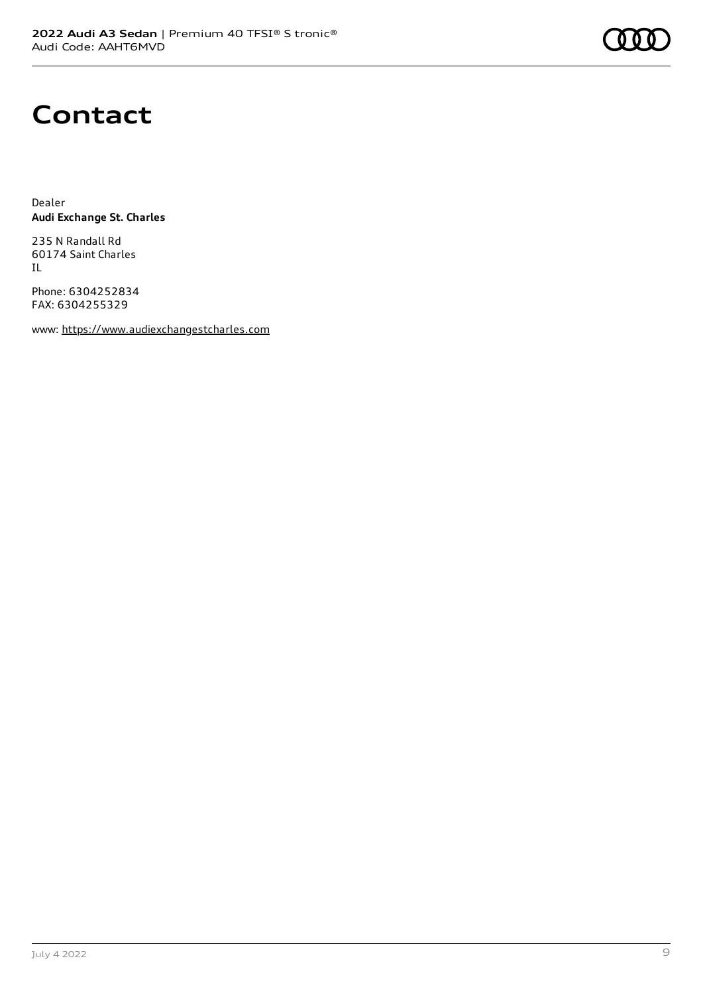

### **Contact**

Dealer **Audi Exchange St. Charles**

235 N Randall Rd 60174 Saint Charles IL

Phone: 6304252834 FAX: 6304255329

www: [https://www.audiexchangestcharles.com](https://www.audiexchangestcharles.com/)